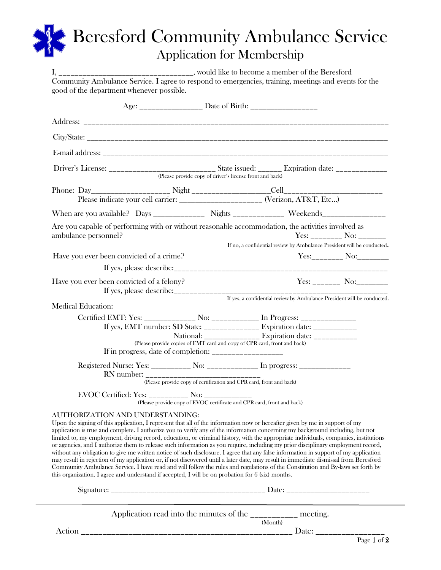## Beresford Community Ambulance Service Application for Membership

| good of the department whenever possible.                                                                                                                                                                                                                              |                                                                                                                                                                                                                                                                                                                                                                                         | Community Ambulance Service. I agree to respond to emergencies, training, meetings and events for the                                                                                                                                                                                                                                                                                                                                                                                                                                                                                                                                                                                                                                                                                                                         |  |  |  |  |  |
|------------------------------------------------------------------------------------------------------------------------------------------------------------------------------------------------------------------------------------------------------------------------|-----------------------------------------------------------------------------------------------------------------------------------------------------------------------------------------------------------------------------------------------------------------------------------------------------------------------------------------------------------------------------------------|-------------------------------------------------------------------------------------------------------------------------------------------------------------------------------------------------------------------------------------------------------------------------------------------------------------------------------------------------------------------------------------------------------------------------------------------------------------------------------------------------------------------------------------------------------------------------------------------------------------------------------------------------------------------------------------------------------------------------------------------------------------------------------------------------------------------------------|--|--|--|--|--|
|                                                                                                                                                                                                                                                                        |                                                                                                                                                                                                                                                                                                                                                                                         |                                                                                                                                                                                                                                                                                                                                                                                                                                                                                                                                                                                                                                                                                                                                                                                                                               |  |  |  |  |  |
|                                                                                                                                                                                                                                                                        |                                                                                                                                                                                                                                                                                                                                                                                         |                                                                                                                                                                                                                                                                                                                                                                                                                                                                                                                                                                                                                                                                                                                                                                                                                               |  |  |  |  |  |
|                                                                                                                                                                                                                                                                        |                                                                                                                                                                                                                                                                                                                                                                                         |                                                                                                                                                                                                                                                                                                                                                                                                                                                                                                                                                                                                                                                                                                                                                                                                                               |  |  |  |  |  |
|                                                                                                                                                                                                                                                                        |                                                                                                                                                                                                                                                                                                                                                                                         |                                                                                                                                                                                                                                                                                                                                                                                                                                                                                                                                                                                                                                                                                                                                                                                                                               |  |  |  |  |  |
|                                                                                                                                                                                                                                                                        |                                                                                                                                                                                                                                                                                                                                                                                         |                                                                                                                                                                                                                                                                                                                                                                                                                                                                                                                                                                                                                                                                                                                                                                                                                               |  |  |  |  |  |
|                                                                                                                                                                                                                                                                        |                                                                                                                                                                                                                                                                                                                                                                                         |                                                                                                                                                                                                                                                                                                                                                                                                                                                                                                                                                                                                                                                                                                                                                                                                                               |  |  |  |  |  |
|                                                                                                                                                                                                                                                                        | Please indicate your cell carrier: ______________________ (Verizon, AT&T, Etc)                                                                                                                                                                                                                                                                                                          |                                                                                                                                                                                                                                                                                                                                                                                                                                                                                                                                                                                                                                                                                                                                                                                                                               |  |  |  |  |  |
|                                                                                                                                                                                                                                                                        |                                                                                                                                                                                                                                                                                                                                                                                         |                                                                                                                                                                                                                                                                                                                                                                                                                                                                                                                                                                                                                                                                                                                                                                                                                               |  |  |  |  |  |
| Are you capable of performing with or without reasonable accommodation, the activities involved as<br>ambulance personnel?                                                                                                                                             |                                                                                                                                                                                                                                                                                                                                                                                         | $Yes: ____________ No: ____________$                                                                                                                                                                                                                                                                                                                                                                                                                                                                                                                                                                                                                                                                                                                                                                                          |  |  |  |  |  |
|                                                                                                                                                                                                                                                                        |                                                                                                                                                                                                                                                                                                                                                                                         | If no, a confidential review by Ambulance President will be conducted.                                                                                                                                                                                                                                                                                                                                                                                                                                                                                                                                                                                                                                                                                                                                                        |  |  |  |  |  |
| Have you ever been convicted of a crime?                                                                                                                                                                                                                               |                                                                                                                                                                                                                                                                                                                                                                                         | Yes:_________ No:________                                                                                                                                                                                                                                                                                                                                                                                                                                                                                                                                                                                                                                                                                                                                                                                                     |  |  |  |  |  |
|                                                                                                                                                                                                                                                                        |                                                                                                                                                                                                                                                                                                                                                                                         |                                                                                                                                                                                                                                                                                                                                                                                                                                                                                                                                                                                                                                                                                                                                                                                                                               |  |  |  |  |  |
| Have you ever been convicted of a felony?                                                                                                                                                                                                                              |                                                                                                                                                                                                                                                                                                                                                                                         | Yes: _________ No:_________                                                                                                                                                                                                                                                                                                                                                                                                                                                                                                                                                                                                                                                                                                                                                                                                   |  |  |  |  |  |
| <b>Medical Education:</b>                                                                                                                                                                                                                                              |                                                                                                                                                                                                                                                                                                                                                                                         | If yes, a confidential review by Ambulance President will be conducted.                                                                                                                                                                                                                                                                                                                                                                                                                                                                                                                                                                                                                                                                                                                                                       |  |  |  |  |  |
|                                                                                                                                                                                                                                                                        |                                                                                                                                                                                                                                                                                                                                                                                         | Certified EMT: Yes: _____________ No: ____________ In Progress: ________________                                                                                                                                                                                                                                                                                                                                                                                                                                                                                                                                                                                                                                                                                                                                              |  |  |  |  |  |
|                                                                                                                                                                                                                                                                        |                                                                                                                                                                                                                                                                                                                                                                                         | If yes, EMT number: SD State: ______________ Expiration date: ___________                                                                                                                                                                                                                                                                                                                                                                                                                                                                                                                                                                                                                                                                                                                                                     |  |  |  |  |  |
| National: ______________ Expiration date: ___________<br>(Please provide copies of EMT card and copy of CPR card, front and back)                                                                                                                                      |                                                                                                                                                                                                                                                                                                                                                                                         |                                                                                                                                                                                                                                                                                                                                                                                                                                                                                                                                                                                                                                                                                                                                                                                                                               |  |  |  |  |  |
|                                                                                                                                                                                                                                                                        | If in progress, date of completion: $\frac{1}{\sqrt{1-\frac{1}{1-\frac{1}{1-\frac{1}{1-\frac{1}{1-\frac{1}{1-\frac{1}{1-\frac{1}{1-\frac{1}{1-\frac{1}{1-\frac{1}{1-\frac{1}{1-\frac{1}{1-\frac{1}{1-\frac{1}{1-\frac{1}{1-\frac{1}{1-\frac{1}{1-\frac{1}{1-\frac{1}{1-\frac{1}{1-\frac{1}{1-\frac{1}{1-\frac{1}{1-\frac{1}{1-\frac{1}{1-\frac{1}{1-\frac{1}{1-\frac{1}{1-\frac{1}{1-\$ |                                                                                                                                                                                                                                                                                                                                                                                                                                                                                                                                                                                                                                                                                                                                                                                                                               |  |  |  |  |  |
|                                                                                                                                                                                                                                                                        |                                                                                                                                                                                                                                                                                                                                                                                         | Registered Nurse: Yes: __________ No: ____________ In progress: ________________                                                                                                                                                                                                                                                                                                                                                                                                                                                                                                                                                                                                                                                                                                                                              |  |  |  |  |  |
| (Please provide copy of certification and CPR card, front and back)                                                                                                                                                                                                    |                                                                                                                                                                                                                                                                                                                                                                                         |                                                                                                                                                                                                                                                                                                                                                                                                                                                                                                                                                                                                                                                                                                                                                                                                                               |  |  |  |  |  |
|                                                                                                                                                                                                                                                                        |                                                                                                                                                                                                                                                                                                                                                                                         |                                                                                                                                                                                                                                                                                                                                                                                                                                                                                                                                                                                                                                                                                                                                                                                                                               |  |  |  |  |  |
| AUTHORIZATION AND UNDERSTANDING:<br>Upon the signing of this application, I represent that all of the information now or hereafter given by me in support of my<br>this organization. I agree and understand if accepted, I will be on probation for $6$ (six) months. |                                                                                                                                                                                                                                                                                                                                                                                         | application is true and complete. I authorize you to verify any of the information concerning my background including, but not<br>limited to, my employment, driving record, education, or criminal history, with the appropriate individuals, companies, institutions<br>or agencies, and I authorize them to release such information as you require, including my prior disciplinary employment record,<br>without any obligation to give me written notice of such disclosure. I agree that any false information in support of my application<br>may result in rejection of my application or, if not discovered until a later date, may result in immediate dismissal from Beresford<br>Community Ambulance Service. I have read and will follow the rules and regulations of the Constitution and By-laws set forth by |  |  |  |  |  |
| Application read into the minutes of the __________ meeting.<br>(Month)                                                                                                                                                                                                |                                                                                                                                                                                                                                                                                                                                                                                         |                                                                                                                                                                                                                                                                                                                                                                                                                                                                                                                                                                                                                                                                                                                                                                                                                               |  |  |  |  |  |
| Action                                                                                                                                                                                                                                                                 |                                                                                                                                                                                                                                                                                                                                                                                         |                                                                                                                                                                                                                                                                                                                                                                                                                                                                                                                                                                                                                                                                                                                                                                                                                               |  |  |  |  |  |